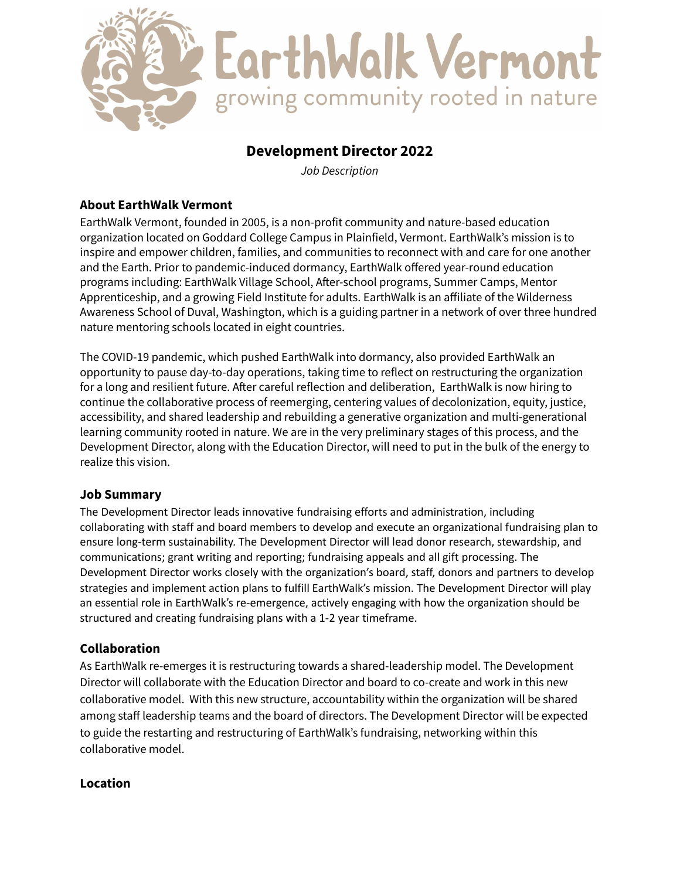

# **Development Director 2022**

*Job Description*

#### **About EarthWalk Vermont**

EarthWalk Vermont, founded in 2005, is a non-profit community and nature-based education organization located on Goddard College Campus in Plainfield, Vermont. EarthWalk's mission is to inspire and empower children, families, and communities to reconnect with and care for one another and the Earth. Prior to pandemic-induced dormancy, EarthWalk offered year-round education programs including: EarthWalk Village School, After-school programs, Summer Camps, Mentor Apprenticeship, and a growing Field Institute for adults. EarthWalk is an affiliate of the Wilderness Awareness School of Duval, Washington, which is a guiding partner in a network of over three hundred nature mentoring schools located in eight countries.

The COVID-19 pandemic, which pushed EarthWalk into dormancy, also provided EarthWalk an opportunity to pause day-to-day operations, taking time to reflect on restructuring the organization for a long and resilient future. After careful reflection and deliberation, EarthWalk is now hiring to continue the collaborative process of reemerging, centering values of decolonization, equity, justice, accessibility, and shared leadership and rebuilding a generative organization and multi-generational learning community rooted in nature. We are in the very preliminary stages of this process, and the Development Director, along with the Education Director, will need to put in the bulk of the energy to realize this vision.

#### **Job Summary**

The Development Director leads innovative fundraising efforts and administration, including collaborating with staff and board members to develop and execute an organizational fundraising plan to ensure long-term sustainability. The Development Director will lead donor research, stewardship, and communications; grant writing and reporting; fundraising appeals and all gift processing. The Development Director works closely with the organization's board, staff, donors and partners to develop strategies and implement action plans to fulfill EarthWalk's mission. The Development Director will play an essential role in EarthWalk's re-emergence, actively engaging with how the organization should be structured and creating fundraising plans with a 1-2 year timeframe.

### **Collaboration**

As EarthWalk re-emerges it is restructuring towards a shared-leadership model. The Development Director will collaborate with the Education Director and board to co-create and work in this new collaborative model. With this new structure, accountability within the organization will be shared among staff leadership teams and the board of directors. The Development Director will be expected to guide the restarting and restructuring of EarthWalk's fundraising, networking within this collaborative model.

#### **Location**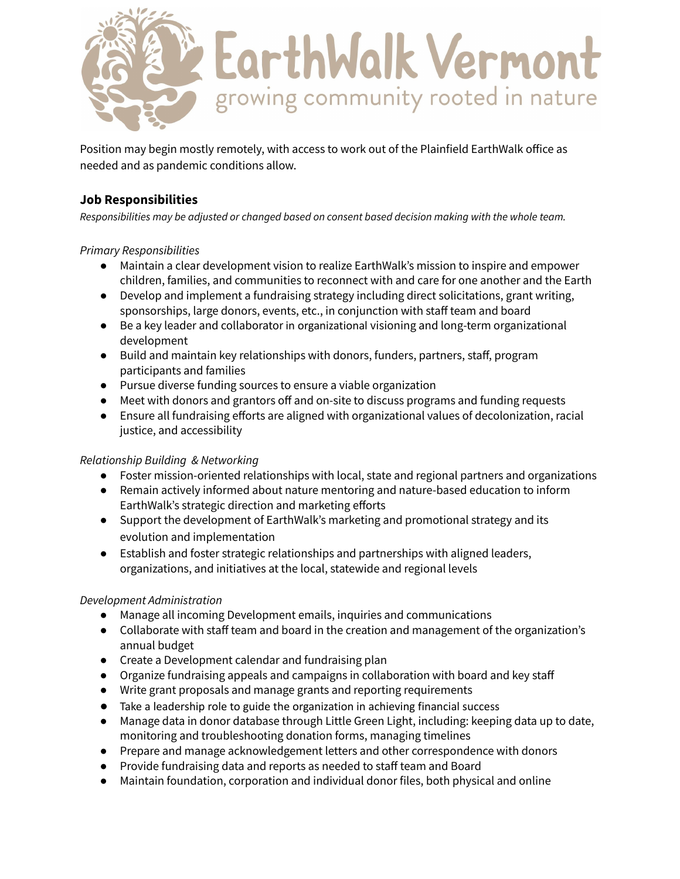

Position may begin mostly remotely, with access to work out of the Plainfield EarthWalk office as needed and as pandemic conditions allow.

### **Job Responsibilities**

*Responsibilities may be adjusted or changed based on consent based decision making with the whole team.*

#### *Primary Responsibilities*

- Maintain a clear development vision to realize EarthWalk's mission to inspire and empower children, families, and communities to reconnect with and care for one another and the Earth
- Develop and implement a fundraising strategy including direct solicitations, grant writing, sponsorships, large donors, events, etc., in conjunction with staff team and board
- Be a key leader and collaborator in organizational visioning and long-term organizational development
- Build and maintain key relationships with donors, funders, partners, staff, program participants and families
- Pursue diverse funding sources to ensure a viable organization
- Meet with donors and grantors off and on-site to discuss programs and funding requests
- Ensure all fundraising efforts are aligned with organizational values of decolonization, racial justice, and accessibility

#### *Relationship Building & Networking*

- Foster mission-oriented relationships with local, state and regional partners and organizations
- Remain actively informed about nature mentoring and nature-based education to inform EarthWalk's strategic direction and marketing efforts
- Support the development of EarthWalk's marketing and promotional strategy and its evolution and implementation
- Establish and foster strategic relationships and partnerships with aligned leaders, organizations, and initiatives at the local, statewide and regional levels

#### *Development Administration*

- Manage all incoming Development emails, inquiries and communications
- Collaborate with staff team and board in the creation and management of the organization's annual budget
- Create a Development calendar and fundraising plan
- Organize fundraising appeals and campaigns in collaboration with board and key staff
- Write grant proposals and manage grants and reporting requirements
- Take a leadership role to guide the organization in achieving financial success
- Manage data in donor database through Little Green Light, including: keeping data up to date, monitoring and troubleshooting donation forms, managing timelines
- Prepare and manage acknowledgement letters and other correspondence with donors
- Provide fundraising data and reports as needed to staff team and Board
- Maintain foundation, corporation and individual donor files, both physical and online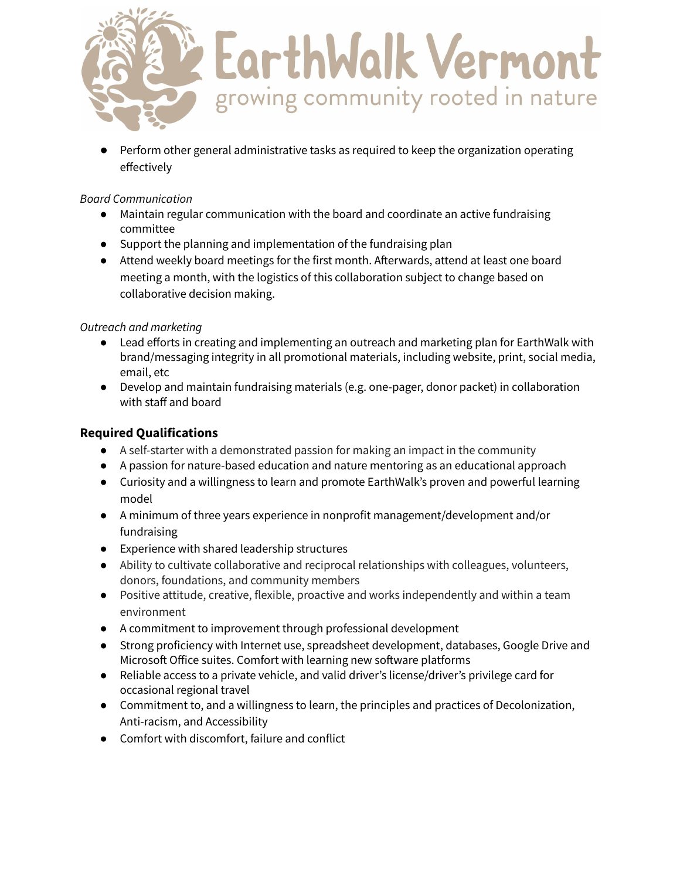

Perform other general administrative tasks as required to keep the organization operating effectively

#### *Board Communication*

- Maintain regular communication with the board and coordinate an active fundraising committee
- Support the planning and implementation of the fundraising plan
- Attend weekly board meetings for the first month. Afterwards, attend at least one board meeting a month, with the logistics of this collaboration subject to change based on collaborative decision making.

### *Outreach and marketing*

- Lead efforts in creating and implementing an outreach and marketing plan for EarthWalk with brand/messaging integrity in all promotional materials, including website, print, social media, email, etc
- Develop and maintain fundraising materials (e.g. one-pager, donor packet) in collaboration with staff and board

## **Required Qualifications**

- A self-starter with a demonstrated passion for making an impact in the community
- A passion for nature-based education and nature mentoring as an educational approach
- Curiosity and a willingness to learn and promote EarthWalk's proven and powerful learning model
- A minimum of three years experience in nonprofit management/development and/or fundraising
- Experience with shared leadership structures
- Ability to cultivate collaborative and reciprocal relationships with colleagues, volunteers, donors, foundations, and community members
- Positive attitude, creative, flexible, proactive and works independently and within a team environment
- A commitment to improvement through professional development
- Strong proficiency with Internet use, spreadsheet development, databases, Google Drive and Microsoft Office suites. Comfort with learning new software platforms
- Reliable access to a private vehicle, and valid driver's license/driver's privilege card for occasional regional travel
- Commitment to, and a willingness to learn, the principles and practices of Decolonization, Anti-racism, and Accessibility
- Comfort with discomfort, failure and conflict